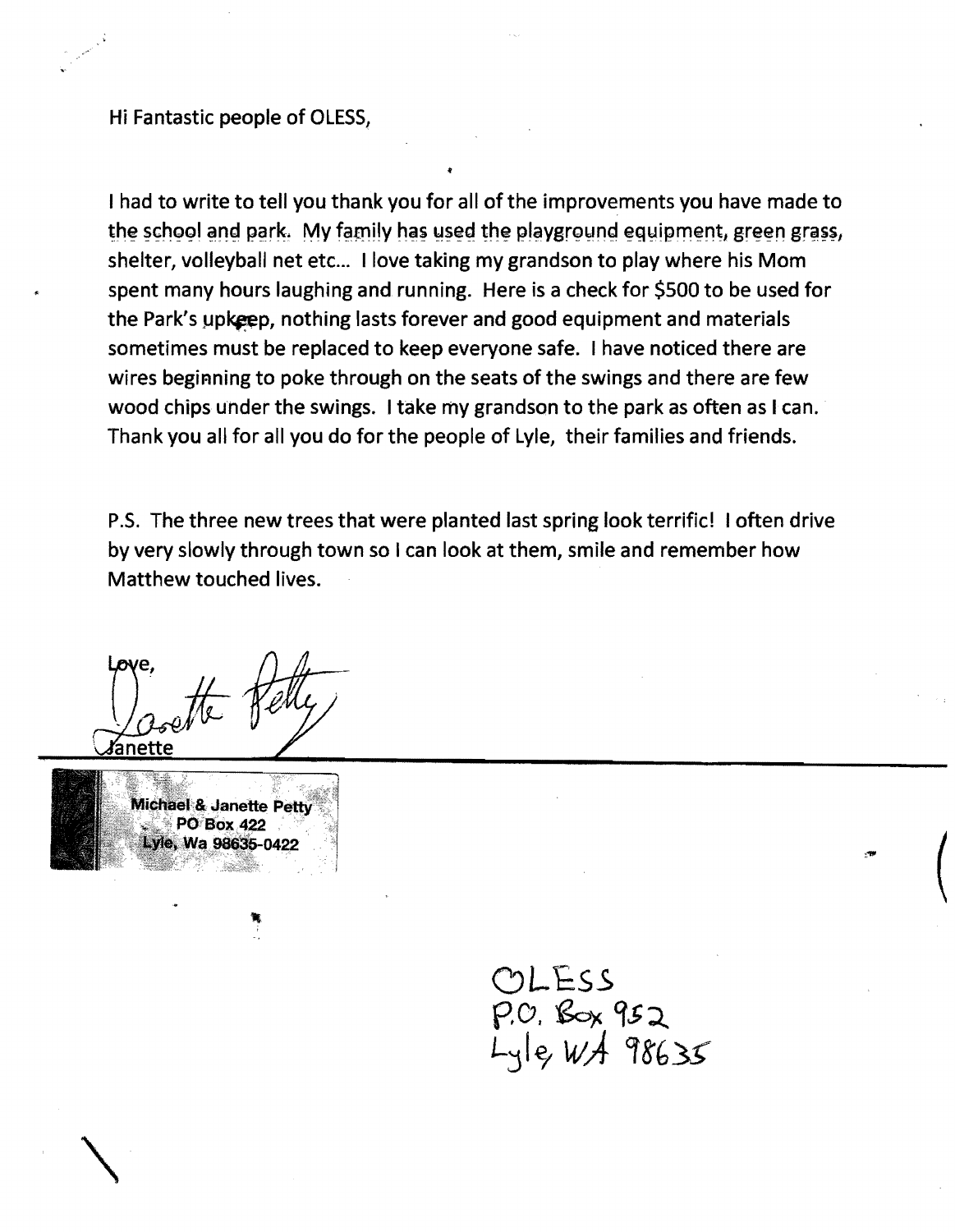Hi Fantastic people of OLESS,

I had to write to tell you thank you for all of the improvements you have made to the school and park. My family has used the playground equipment, green grass, shelter, volleyball net etc... I love taking my grandson to play where his Mom spent many hours laughing and running. Here is a check for \$500 to be used for the Park's upkeep, nothing lasts forever and good equipment and materials sometimes must be replaced to keep everyone safe. I have noticed there are wires beginning to poke through on the seats of the swings and there are few wood chips under the swings. I take my grandson to the park as often as I can. Thank you all for all you do for the people of Lyle, their families and friends.

P.S. The three new trees that were planted last spring look terrific! I often drive by very slowly through town so I can look at them, smile and remember how Matthew touched lives.

anette



 $\diagdown$ 

ClL£ss  $P.C.$   $S \propto 952$ Ljle; *wA* Of8'f>3S  $\Big($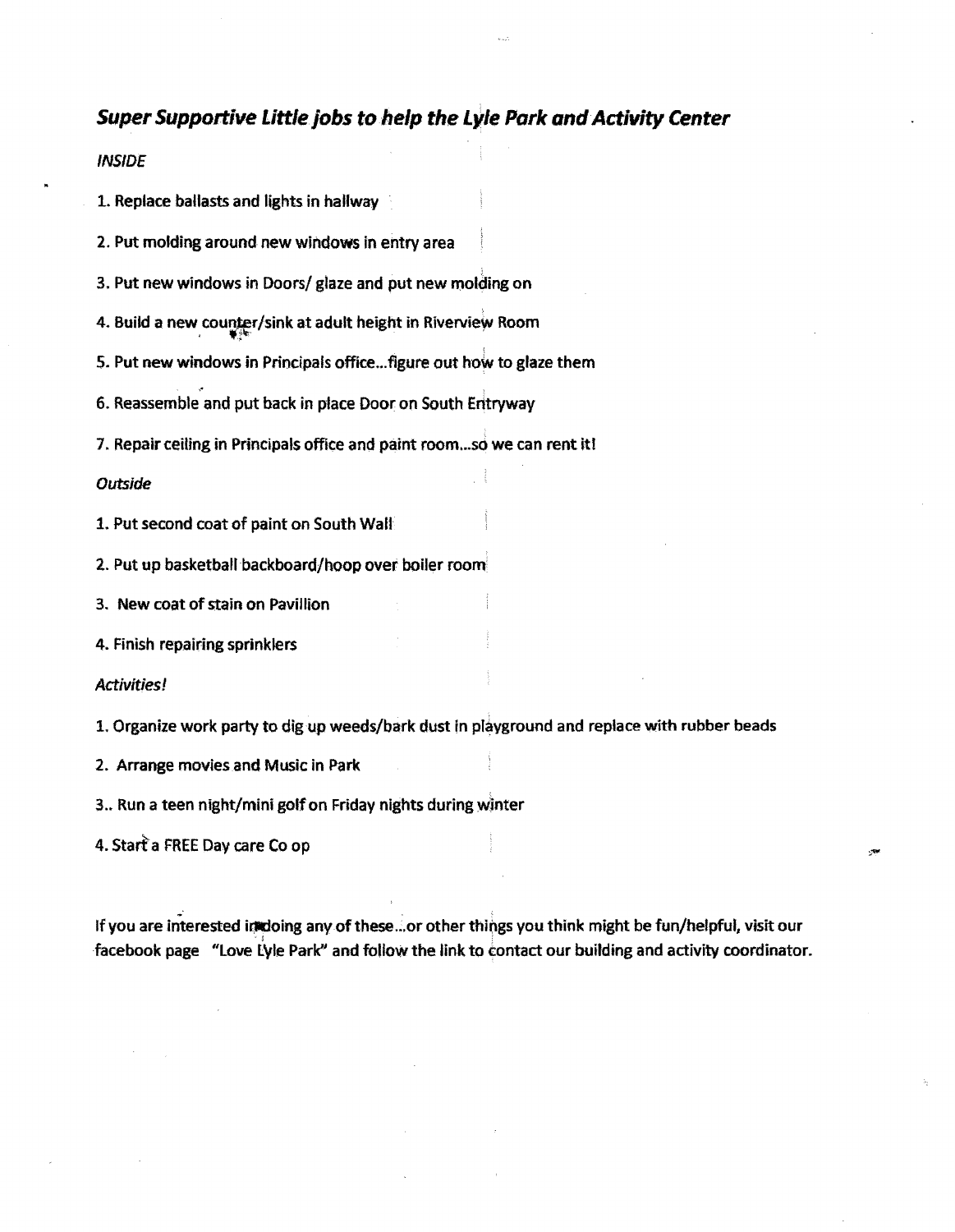## **Super Supportive Littlejobs** to help **the Lyle Park** and Activity **Center**

INSIDE

1. Replace ballasts and lights in hallway

2. Put molding around new windows in entry area

3. Put new windows in *Ooorsl* glaze and put new molding on

4. Build a new counter/sink at adult height in Riverview Room

5. Put new windows in Principals office... figure out how to glaze them

6. Reassemble and put back in place Door on South Entryway

7. Repair ceiling in Principals office and paint room...so we can rent it!

## *Outside*

1. Put second coat of paint on South Wall

2. Put up basketball backboard/hoop over boiler room

3. New coat of stain on Pavillion

4. Finish repairing sprinklers

## Activities!

1. Organize work party to dig up weeds/bark dust in playground and replace with rubber beads

2. Arrange movies and Music in Park

3.. Run a teen night/mini golfon Friday nights during winter

4. Staffa FREE Day care Co op

If you are interested inidoing any of these...or other things you think might be fun/helpful, visit our facebook page "Love Lyle Park" and follow the link to contact our building and activity coordinator.